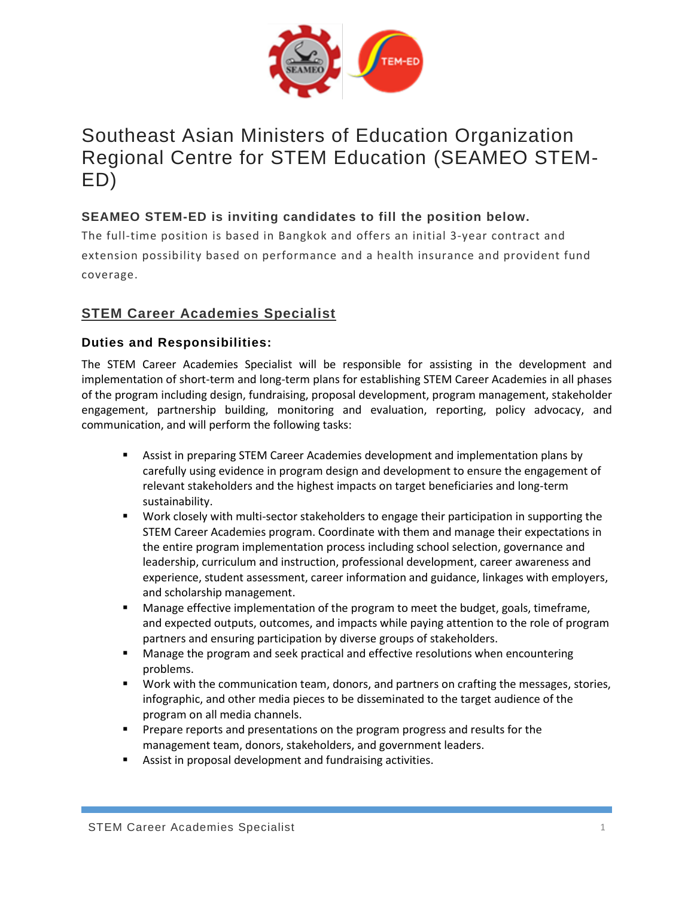

# Southeast Asian Ministers of Education Organization Regional Centre for STEM Education (SEAMEO STEM-ED)

# **SEAMEO STEM-ED is inviting candidates to fill the position below.**

The full-time position is based in Bangkok and offers an initial 3-year contract and extension possibility based on performance and a health insurance and provident fund coverage.

# **STEM Career Academies Specialist**

## **Duties and Responsibilities:**

The STEM Career Academies Specialist will be responsible for assisting in the development and implementation of short-term and long-term plans for establishing STEM Career Academies in all phases of the program including design, fundraising, proposal development, program management, stakeholder engagement, partnership building, monitoring and evaluation, reporting, policy advocacy, and communication, and will perform the following tasks:

- **EXECT** Assist in preparing STEM Career Academies development and implementation plans by carefully using evidence in program design and development to ensure the engagement of relevant stakeholders and the highest impacts on target beneficiaries and long-term sustainability.
- Work closely with multi-sector stakeholders to engage their participation in supporting the STEM Career Academies program. Coordinate with them and manage their expectations in the entire program implementation process including school selection, governance and leadership, curriculum and instruction, professional development, career awareness and experience, student assessment, career information and guidance, linkages with employers, and scholarship management.
- Manage effective implementation of the program to meet the budget, goals, timeframe, and expected outputs, outcomes, and impacts while paying attention to the role of program partners and ensuring participation by diverse groups of stakeholders.
- Manage the program and seek practical and effective resolutions when encountering problems.
- Work with the communication team, donors, and partners on crafting the messages, stories, infographic, and other media pieces to be disseminated to the target audience of the program on all media channels.
- **•** Prepare reports and presentations on the program progress and results for the management team, donors, stakeholders, and government leaders.
- Assist in proposal development and fundraising activities.